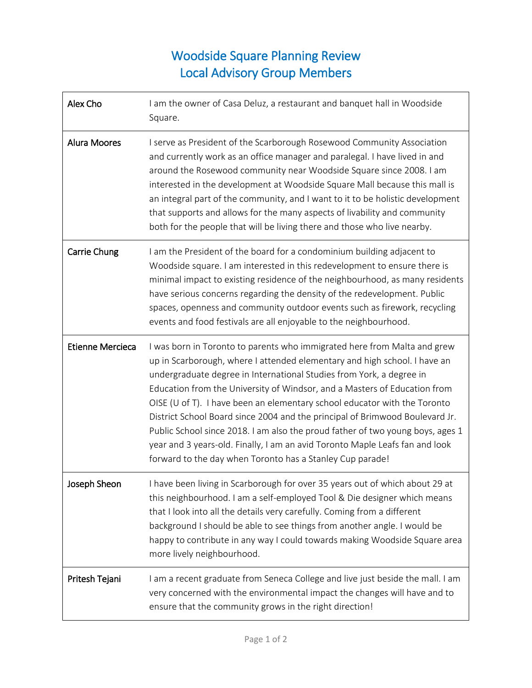## Woodside Square Planning Review Local Advisory Group Members

| Alex Cho                | I am the owner of Casa Deluz, a restaurant and banquet hall in Woodside<br>Square.                                                                                                                                                                                                                                                                                                                                                                                                                                                                                                                                                                                                                     |
|-------------------------|--------------------------------------------------------------------------------------------------------------------------------------------------------------------------------------------------------------------------------------------------------------------------------------------------------------------------------------------------------------------------------------------------------------------------------------------------------------------------------------------------------------------------------------------------------------------------------------------------------------------------------------------------------------------------------------------------------|
| <b>Alura Moores</b>     | I serve as President of the Scarborough Rosewood Community Association<br>and currently work as an office manager and paralegal. I have lived in and<br>around the Rosewood community near Woodside Square since 2008. I am<br>interested in the development at Woodside Square Mall because this mall is<br>an integral part of the community, and I want to it to be holistic development<br>that supports and allows for the many aspects of livability and community<br>both for the people that will be living there and those who live nearby.                                                                                                                                                   |
| Carrie Chung            | I am the President of the board for a condominium building adjacent to<br>Woodside square. I am interested in this redevelopment to ensure there is<br>minimal impact to existing residence of the neighbourhood, as many residents<br>have serious concerns regarding the density of the redevelopment. Public<br>spaces, openness and community outdoor events such as firework, recycling<br>events and food festivals are all enjoyable to the neighbourhood.                                                                                                                                                                                                                                      |
| <b>Etienne Mercieca</b> | I was born in Toronto to parents who immigrated here from Malta and grew<br>up in Scarborough, where I attended elementary and high school. I have an<br>undergraduate degree in International Studies from York, a degree in<br>Education from the University of Windsor, and a Masters of Education from<br>OISE (U of T). I have been an elementary school educator with the Toronto<br>District School Board since 2004 and the principal of Brimwood Boulevard Jr.<br>Public School since 2018. I am also the proud father of two young boys, ages 1<br>year and 3 years-old. Finally, I am an avid Toronto Maple Leafs fan and look<br>forward to the day when Toronto has a Stanley Cup parade! |
| Joseph Sheon            | I have been living in Scarborough for over 35 years out of which about 29 at<br>this neighbourhood. I am a self-employed Tool & Die designer which means<br>that I look into all the details very carefully. Coming from a different<br>background I should be able to see things from another angle. I would be<br>happy to contribute in any way I could towards making Woodside Square area<br>more lively neighbourhood.                                                                                                                                                                                                                                                                           |
| Pritesh Tejani          | I am a recent graduate from Seneca College and live just beside the mall. I am<br>very concerned with the environmental impact the changes will have and to<br>ensure that the community grows in the right direction!                                                                                                                                                                                                                                                                                                                                                                                                                                                                                 |